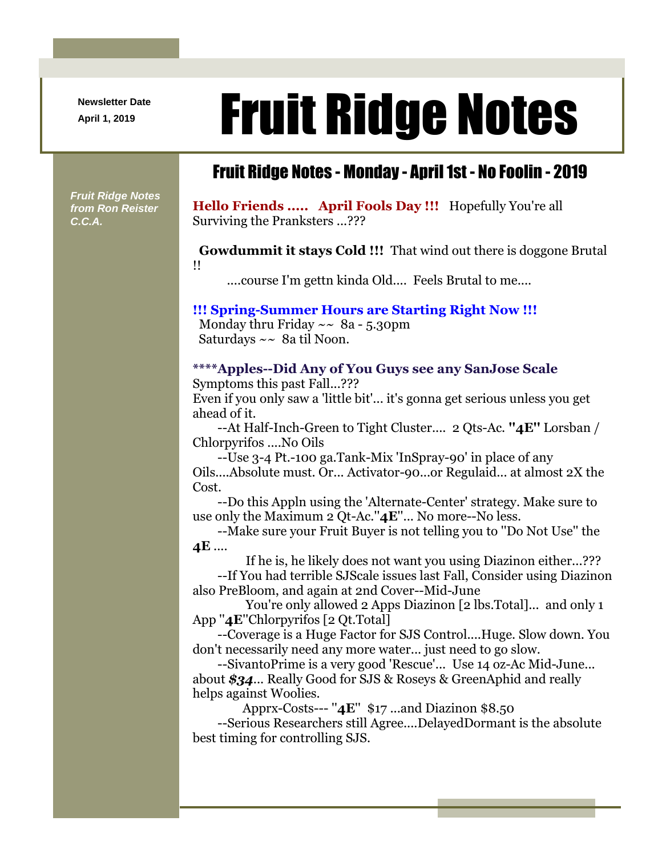**Newsletter Date**

# April 1, 2019 **Fruit Ridge Notes**

### Fruit Ridge Notes - Monday - April 1st - No Foolin - 2019

*Fruit Ridge Notes from Ron Reister C.C.A.*

**Hello Friends ..... April Fools Day !!!** Hopefully You're all Surviving the Pranksters ...???

**Gowdummit it stays Cold !!!** That wind out there is doggone Brutal !!

....course I'm gettn kinda Old.... Feels Brutal to me....

#### **!!! Spring-Summer Hours are Starting Right Now !!!**

Monday thru Friday  $\sim \ 8a - 5.30$ pm Saturdays ~~ 8a til Noon.

#### **\*\*\*\*Apples--Did Any of You Guys see any SanJose Scale**

Symptoms this past Fall...???

Even if you only saw a 'little bit'... it's gonna get serious unless you get ahead of it.

--At Half-Inch-Green to Tight Cluster.... 2 Qts-Ac. **''4E''** Lorsban / Chlorpyrifos ....No Oils

--Use 3-4 Pt.-100 ga.Tank-Mix 'InSpray-90' in place of any Oils....Absolute must. Or... Activator-90...or Regulaid... at almost 2X the Cost.

--Do this Appln using the 'Alternate-Center' strategy. Make sure to use only the Maximum 2 Qt-Ac.''**4E**''... No more--No less.

--Make sure your Fruit Buyer is not telling you to ''Do Not Use'' the **4E** ....

If he is, he likely does not want you using Diazinon either...???

--If You had terrible SJScale issues last Fall, Consider using Diazinon also PreBloom, and again at 2nd Cover--Mid-June

You're only allowed 2 Apps Diazinon [2 lbs.Total]... and only 1 App ''**4E**''Chlorpyrifos [2 Qt.Total]

--Coverage is a Huge Factor for SJS Control....Huge. Slow down. You don't necessarily need any more water... just need to go slow.

--SivantoPrime is a very good 'Rescue'... Use 14 oz-Ac Mid-June... about *\$34*... Really Good for SJS & Roseys & GreenAphid and really helps against Woolies.

Apprx-Costs--- ''**4E**'' \$17 ...and Diazinon \$8.50

--Serious Researchers still Agree....DelayedDormant is the absolute best timing for controlling SJS.